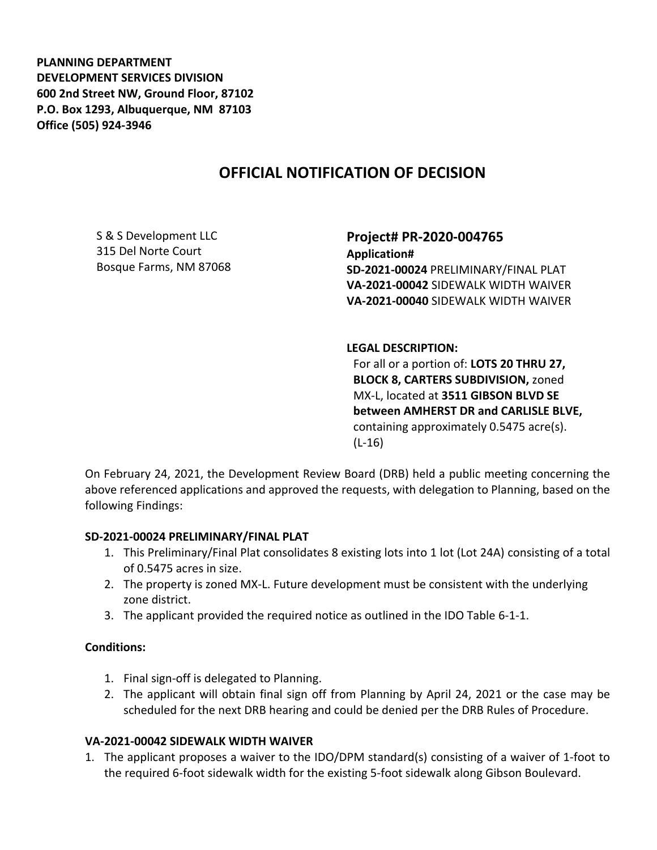**PLANNING DEPARTMENT DEVELOPMENT SERVICES DIVISION 600 2nd Street NW, Ground Floor, 87102 P.O. Box 1293, Albuquerque, NM 87103 Office (505) 924-3946** 

# **OFFICIAL NOTIFICATION OF DECISION**

S & S Development LLC 315 Del Norte Court Bosque Farms, NM 87068 **Project# PR-2020-004765 Application# SD-2021-00024** PRELIMINARY/FINAL PLAT **VA-2021-00042** SIDEWALK WIDTH WAIVER **VA-2021-00040** SIDEWALK WIDTH WAIVER

#### **LEGAL DESCRIPTION:**

For all or a portion of: **LOTS 20 THRU 27, BLOCK 8, CARTERS SUBDIVISION,** zoned MX-L, located at **3511 GIBSON BLVD SE between AMHERST DR and CARLISLE BLVE,**  containing approximately 0.5475 acre(s). (L-16)

On February 24, 2021, the Development Review Board (DRB) held a public meeting concerning the above referenced applications and approved the requests, with delegation to Planning, based on the following Findings:

#### **SD-2021-00024 PRELIMINARY/FINAL PLAT**

- 1. This Preliminary/Final Plat consolidates 8 existing lots into 1 lot (Lot 24A) consisting of a total of 0.5475 acres in size.
- 2. The property is zoned MX-L. Future development must be consistent with the underlying zone district.
- 3. The applicant provided the required notice as outlined in the IDO Table 6-1-1.

## **Conditions:**

- 1. Final sign-off is delegated to Planning.
- 2. The applicant will obtain final sign off from Planning by April 24, 2021 or the case may be scheduled for the next DRB hearing and could be denied per the DRB Rules of Procedure.

## **VA-2021-00042 SIDEWALK WIDTH WAIVER**

1. The applicant proposes a waiver to the IDO/DPM standard(s) consisting of a waiver of 1-foot to the required 6-foot sidewalk width for the existing 5-foot sidewalk along Gibson Boulevard.